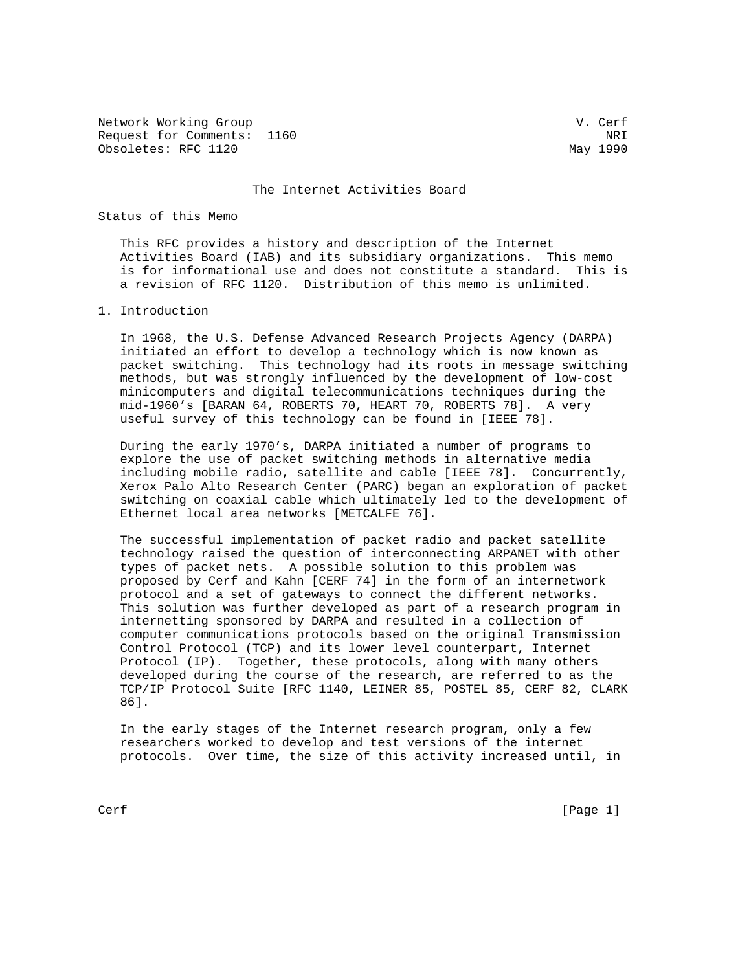Network Working Group van de verfanging van de verfanging van de verfanging van de verfanging van de verfanging Request for Comments: 1160 NRI Obsoletes: RFC 1120 May 1990

The Internet Activities Board

## Status of this Memo

 This RFC provides a history and description of the Internet Activities Board (IAB) and its subsidiary organizations. This memo is for informational use and does not constitute a standard. This is a revision of RFC 1120. Distribution of this memo is unlimited.

# 1. Introduction

 In 1968, the U.S. Defense Advanced Research Projects Agency (DARPA) initiated an effort to develop a technology which is now known as packet switching. This technology had its roots in message switching methods, but was strongly influenced by the development of low-cost minicomputers and digital telecommunications techniques during the mid-1960's [BARAN 64, ROBERTS 70, HEART 70, ROBERTS 78]. A very useful survey of this technology can be found in [IEEE 78].

 During the early 1970's, DARPA initiated a number of programs to explore the use of packet switching methods in alternative media including mobile radio, satellite and cable [IEEE 78]. Concurrently, Xerox Palo Alto Research Center (PARC) began an exploration of packet switching on coaxial cable which ultimately led to the development of Ethernet local area networks [METCALFE 76].

 The successful implementation of packet radio and packet satellite technology raised the question of interconnecting ARPANET with other types of packet nets. A possible solution to this problem was proposed by Cerf and Kahn [CERF 74] in the form of an internetwork protocol and a set of gateways to connect the different networks. This solution was further developed as part of a research program in internetting sponsored by DARPA and resulted in a collection of computer communications protocols based on the original Transmission Control Protocol (TCP) and its lower level counterpart, Internet Protocol (IP). Together, these protocols, along with many others developed during the course of the research, are referred to as the TCP/IP Protocol Suite [RFC 1140, LEINER 85, POSTEL 85, CERF 82, CLARK 86].

 In the early stages of the Internet research program, only a few researchers worked to develop and test versions of the internet protocols. Over time, the size of this activity increased until, in

Cerf [Page 1]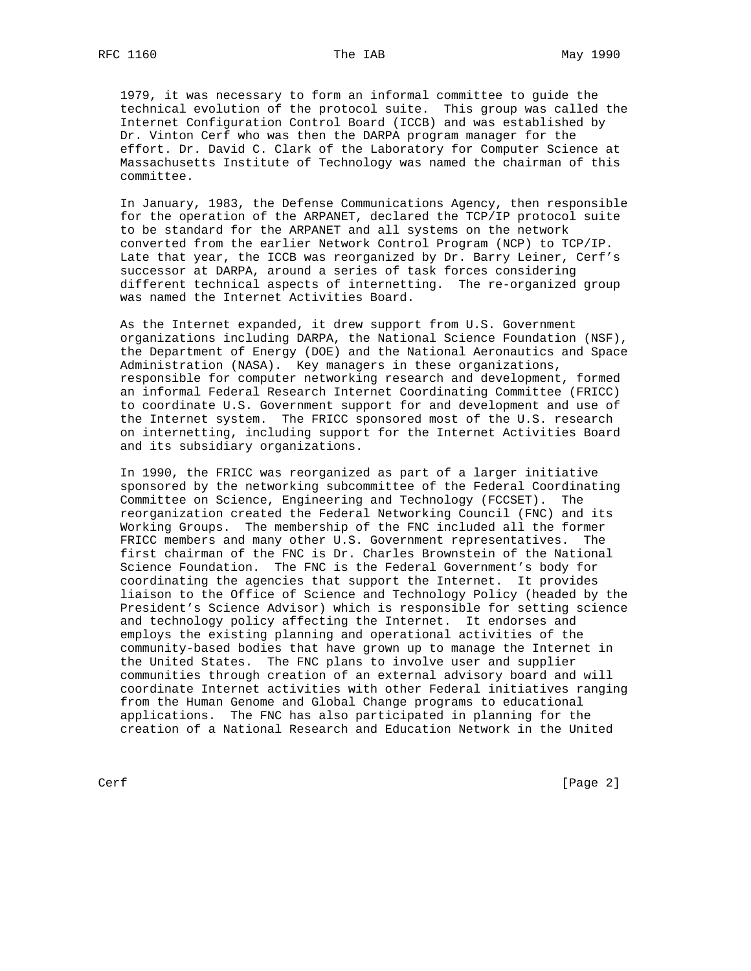1979, it was necessary to form an informal committee to guide the technical evolution of the protocol suite. This group was called the Internet Configuration Control Board (ICCB) and was established by Dr. Vinton Cerf who was then the DARPA program manager for the effort. Dr. David C. Clark of the Laboratory for Computer Science at Massachusetts Institute of Technology was named the chairman of this committee.

 In January, 1983, the Defense Communications Agency, then responsible for the operation of the ARPANET, declared the TCP/IP protocol suite to be standard for the ARPANET and all systems on the network converted from the earlier Network Control Program (NCP) to TCP/IP. Late that year, the ICCB was reorganized by Dr. Barry Leiner, Cerf's successor at DARPA, around a series of task forces considering different technical aspects of internetting. The re-organized group was named the Internet Activities Board.

 As the Internet expanded, it drew support from U.S. Government organizations including DARPA, the National Science Foundation (NSF), the Department of Energy (DOE) and the National Aeronautics and Space Administration (NASA). Key managers in these organizations, responsible for computer networking research and development, formed an informal Federal Research Internet Coordinating Committee (FRICC) to coordinate U.S. Government support for and development and use of the Internet system. The FRICC sponsored most of the U.S. research on internetting, including support for the Internet Activities Board and its subsidiary organizations.

 In 1990, the FRICC was reorganized as part of a larger initiative sponsored by the networking subcommittee of the Federal Coordinating Committee on Science, Engineering and Technology (FCCSET). The reorganization created the Federal Networking Council (FNC) and its Working Groups. The membership of the FNC included all the former FRICC members and many other U.S. Government representatives. The first chairman of the FNC is Dr. Charles Brownstein of the National Science Foundation. The FNC is the Federal Government's body for coordinating the agencies that support the Internet. It provides liaison to the Office of Science and Technology Policy (headed by the President's Science Advisor) which is responsible for setting science and technology policy affecting the Internet. It endorses and employs the existing planning and operational activities of the community-based bodies that have grown up to manage the Internet in the United States. The FNC plans to involve user and supplier communities through creation of an external advisory board and will coordinate Internet activities with other Federal initiatives ranging from the Human Genome and Global Change programs to educational applications. The FNC has also participated in planning for the creation of a National Research and Education Network in the United

Cerf [Page 2]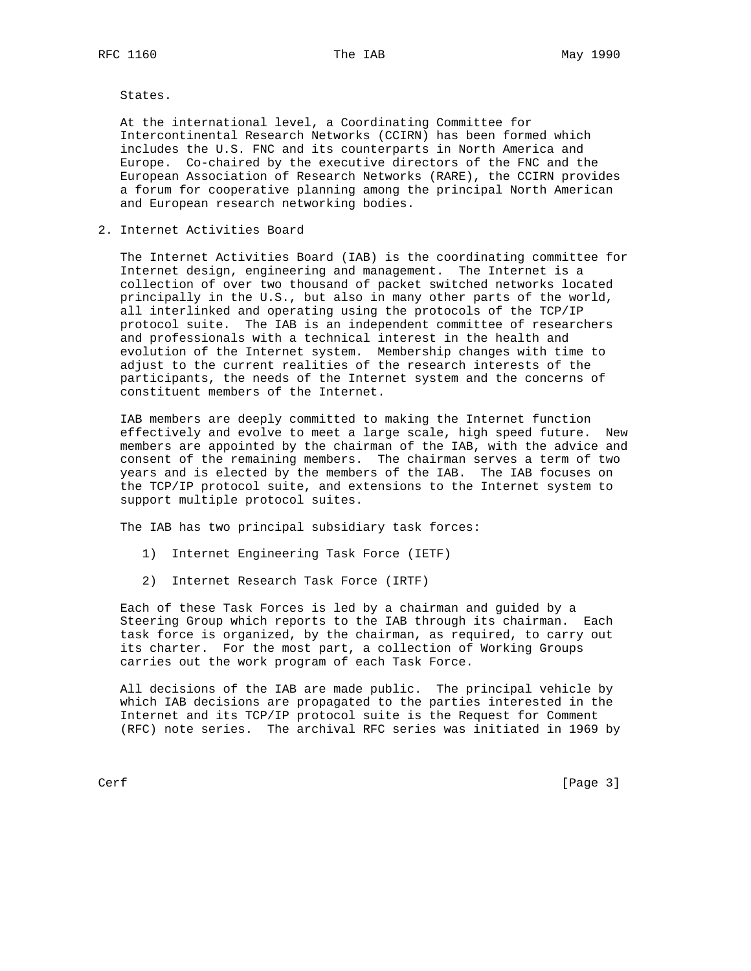States.

 At the international level, a Coordinating Committee for Intercontinental Research Networks (CCIRN) has been formed which includes the U.S. FNC and its counterparts in North America and Europe. Co-chaired by the executive directors of the FNC and the European Association of Research Networks (RARE), the CCIRN provides a forum for cooperative planning among the principal North American and European research networking bodies.

2. Internet Activities Board

 The Internet Activities Board (IAB) is the coordinating committee for Internet design, engineering and management. The Internet is a collection of over two thousand of packet switched networks located principally in the U.S., but also in many other parts of the world, all interlinked and operating using the protocols of the TCP/IP protocol suite. The IAB is an independent committee of researchers and professionals with a technical interest in the health and evolution of the Internet system. Membership changes with time to adjust to the current realities of the research interests of the participants, the needs of the Internet system and the concerns of constituent members of the Internet.

 IAB members are deeply committed to making the Internet function effectively and evolve to meet a large scale, high speed future. New members are appointed by the chairman of the IAB, with the advice and consent of the remaining members. The chairman serves a term of two years and is elected by the members of the IAB. The IAB focuses on the TCP/IP protocol suite, and extensions to the Internet system to support multiple protocol suites.

The IAB has two principal subsidiary task forces:

- 1) Internet Engineering Task Force (IETF)
- 2) Internet Research Task Force (IRTF)

 Each of these Task Forces is led by a chairman and guided by a Steering Group which reports to the IAB through its chairman. Each task force is organized, by the chairman, as required, to carry out its charter. For the most part, a collection of Working Groups carries out the work program of each Task Force.

 All decisions of the IAB are made public. The principal vehicle by which IAB decisions are propagated to the parties interested in the Internet and its TCP/IP protocol suite is the Request for Comment (RFC) note series. The archival RFC series was initiated in 1969 by

Cerf [Page 3]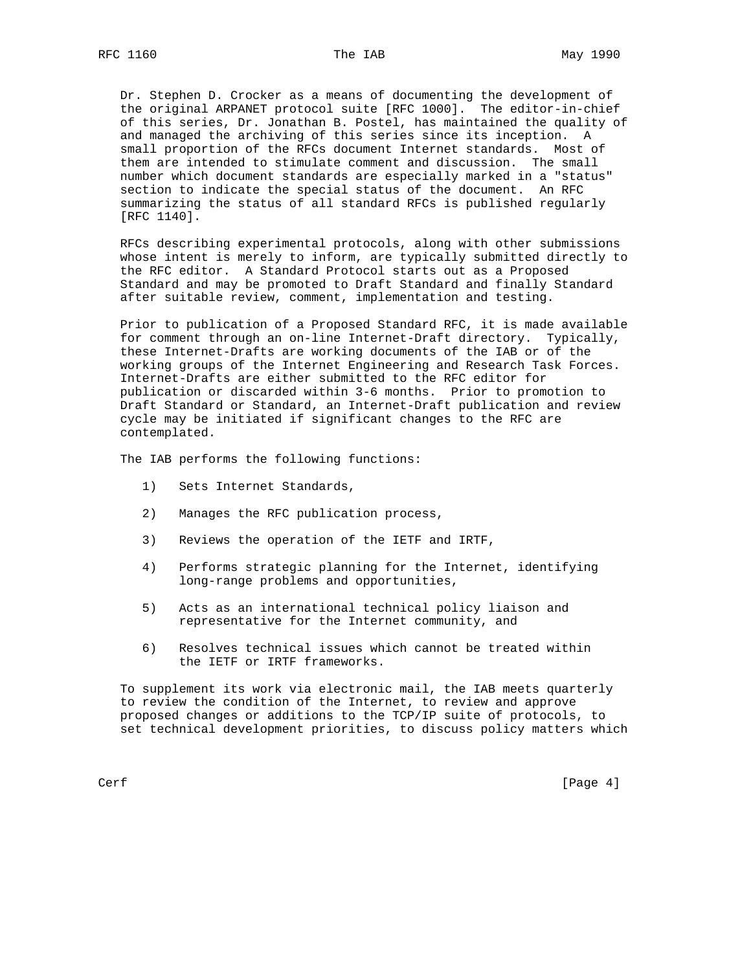Dr. Stephen D. Crocker as a means of documenting the development of the original ARPANET protocol suite [RFC 1000]. The editor-in-chief of this series, Dr. Jonathan B. Postel, has maintained the quality of and managed the archiving of this series since its inception. A small proportion of the RFCs document Internet standards. Most of them are intended to stimulate comment and discussion. The small number which document standards are especially marked in a "status" section to indicate the special status of the document. An RFC summarizing the status of all standard RFCs is published regularly [RFC 1140].

 RFCs describing experimental protocols, along with other submissions whose intent is merely to inform, are typically submitted directly to the RFC editor. A Standard Protocol starts out as a Proposed Standard and may be promoted to Draft Standard and finally Standard after suitable review, comment, implementation and testing.

 Prior to publication of a Proposed Standard RFC, it is made available for comment through an on-line Internet-Draft directory. Typically, these Internet-Drafts are working documents of the IAB or of the working groups of the Internet Engineering and Research Task Forces. Internet-Drafts are either submitted to the RFC editor for publication or discarded within 3-6 months. Prior to promotion to Draft Standard or Standard, an Internet-Draft publication and review cycle may be initiated if significant changes to the RFC are contemplated.

The IAB performs the following functions:

- 1) Sets Internet Standards,
- 2) Manages the RFC publication process,
- 3) Reviews the operation of the IETF and IRTF,
- 4) Performs strategic planning for the Internet, identifying long-range problems and opportunities,
- 5) Acts as an international technical policy liaison and representative for the Internet community, and
- 6) Resolves technical issues which cannot be treated within the IETF or IRTF frameworks.

 To supplement its work via electronic mail, the IAB meets quarterly to review the condition of the Internet, to review and approve proposed changes or additions to the TCP/IP suite of protocols, to set technical development priorities, to discuss policy matters which

Cerf [Page 4]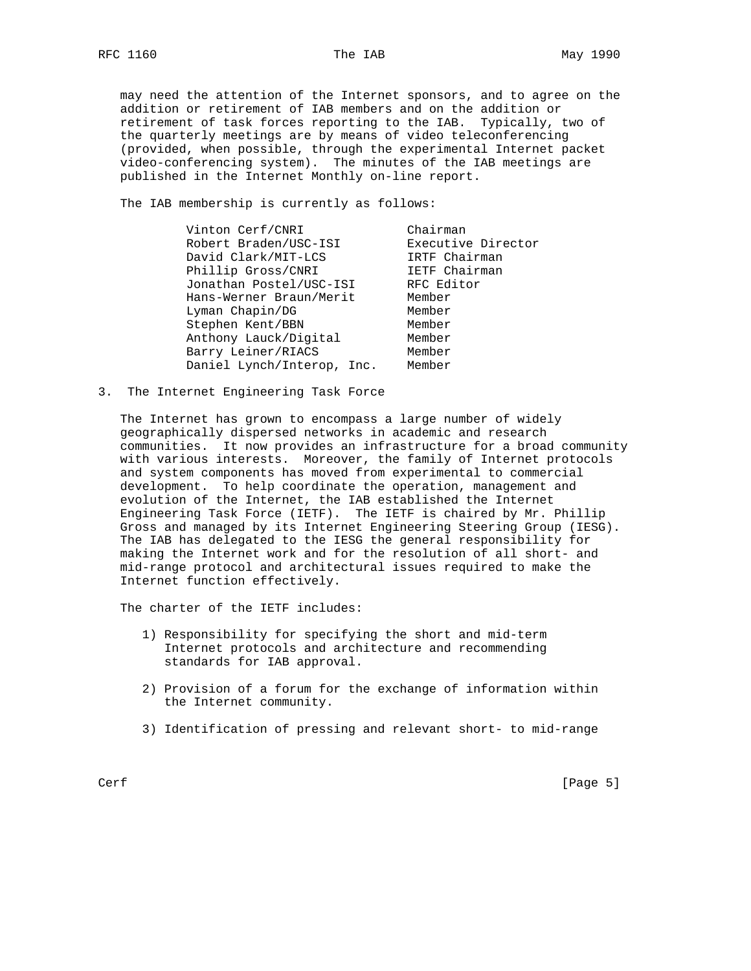may need the attention of the Internet sponsors, and to agree on the addition or retirement of IAB members and on the addition or retirement of task forces reporting to the IAB. Typically, two of the quarterly meetings are by means of video teleconferencing (provided, when possible, through the experimental Internet packet video-conferencing system). The minutes of the IAB meetings are published in the Internet Monthly on-line report.

The IAB membership is currently as follows:

| Vinton Cerf/CNRI           | Chairman           |
|----------------------------|--------------------|
| Robert Braden/USC-ISI      | Executive Director |
| David Clark/MIT-LCS        | IRTF Chairman      |
| Phillip Gross/CNRI         | IETF Chairman      |
| Jonathan Postel/USC-ISI    | RFC Editor         |
| Hans-Werner Braun/Merit    | Member             |
| Lyman Chapin/DG            | Member             |
| Stephen Kent/BBN           | Member             |
| Anthony Lauck/Digital      | Member             |
| Barry Leiner/RIACS         | Member             |
| Daniel Lynch/Interop, Inc. | Member             |

3. The Internet Engineering Task Force

 The Internet has grown to encompass a large number of widely geographically dispersed networks in academic and research communities. It now provides an infrastructure for a broad community with various interests. Moreover, the family of Internet protocols and system components has moved from experimental to commercial development. To help coordinate the operation, management and evolution of the Internet, the IAB established the Internet Engineering Task Force (IETF). The IETF is chaired by Mr. Phillip Gross and managed by its Internet Engineering Steering Group (IESG). The IAB has delegated to the IESG the general responsibility for making the Internet work and for the resolution of all short- and mid-range protocol and architectural issues required to make the Internet function effectively.

The charter of the IETF includes:

- 1) Responsibility for specifying the short and mid-term Internet protocols and architecture and recommending standards for IAB approval.
- 2) Provision of a forum for the exchange of information within the Internet community.
- 3) Identification of pressing and relevant short- to mid-range

Cerf [Page 5]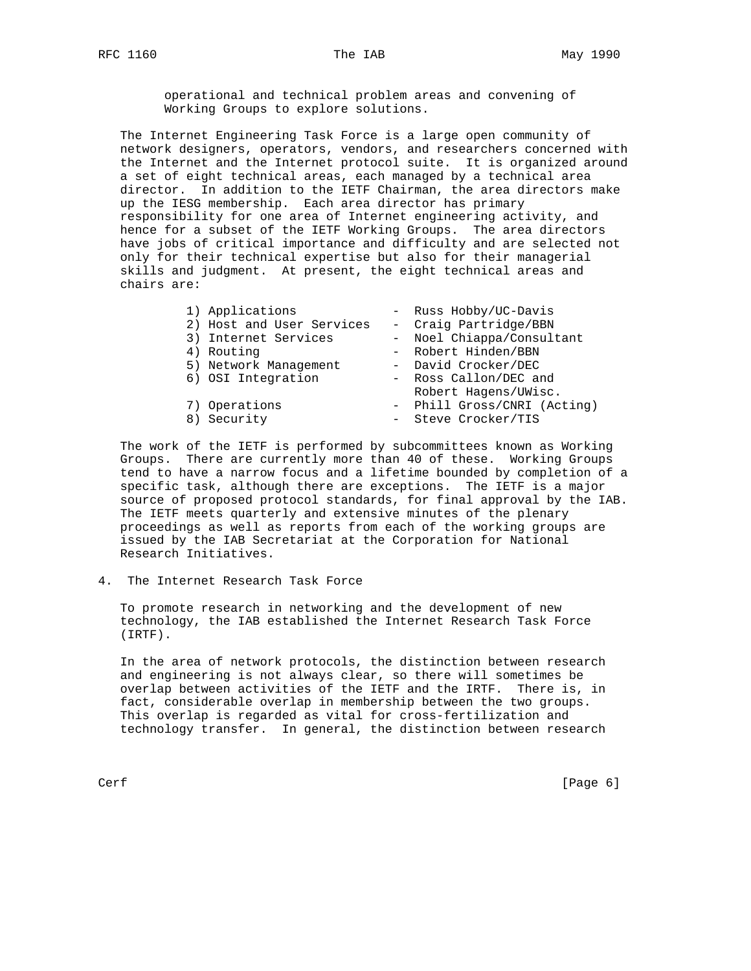operational and technical problem areas and convening of Working Groups to explore solutions.

 The Internet Engineering Task Force is a large open community of network designers, operators, vendors, and researchers concerned with the Internet and the Internet protocol suite. It is organized around a set of eight technical areas, each managed by a technical area director. In addition to the IETF Chairman, the area directors make up the IESG membership. Each area director has primary responsibility for one area of Internet engineering activity, and hence for a subset of the IETF Working Groups. The area directors have jobs of critical importance and difficulty and are selected not only for their technical expertise but also for their managerial skills and judgment. At present, the eight technical areas and chairs are:

| 1) Applications           | - Russ Hobby/UC-Davis       |
|---------------------------|-----------------------------|
| 2) Host and User Services | - Craig Partridge/BBN       |
| 3) Internet Services      | - Noel Chiappa/Consultant   |
| 4) Routing                | - Robert Hinden/BBN         |
| 5) Network Management     | - David Crocker/DEC         |
| 6) OSI Integration        | - Ross Callon/DEC and       |
|                           | Robert Hagens/UWisc.        |
| 7) Operations             | - Phill Gross/CNRI (Acting) |
| 8) Security               | - Steve Crocker/TIS         |
|                           |                             |

 The work of the IETF is performed by subcommittees known as Working Groups. There are currently more than 40 of these. Working Groups tend to have a narrow focus and a lifetime bounded by completion of a specific task, although there are exceptions. The IETF is a major source of proposed protocol standards, for final approval by the IAB. The IETF meets quarterly and extensive minutes of the plenary proceedings as well as reports from each of the working groups are issued by the IAB Secretariat at the Corporation for National Research Initiatives.

4. The Internet Research Task Force

 To promote research in networking and the development of new technology, the IAB established the Internet Research Task Force (IRTF).

 In the area of network protocols, the distinction between research and engineering is not always clear, so there will sometimes be overlap between activities of the IETF and the IRTF. There is, in fact, considerable overlap in membership between the two groups. This overlap is regarded as vital for cross-fertilization and technology transfer. In general, the distinction between research

Cerf [Page 6]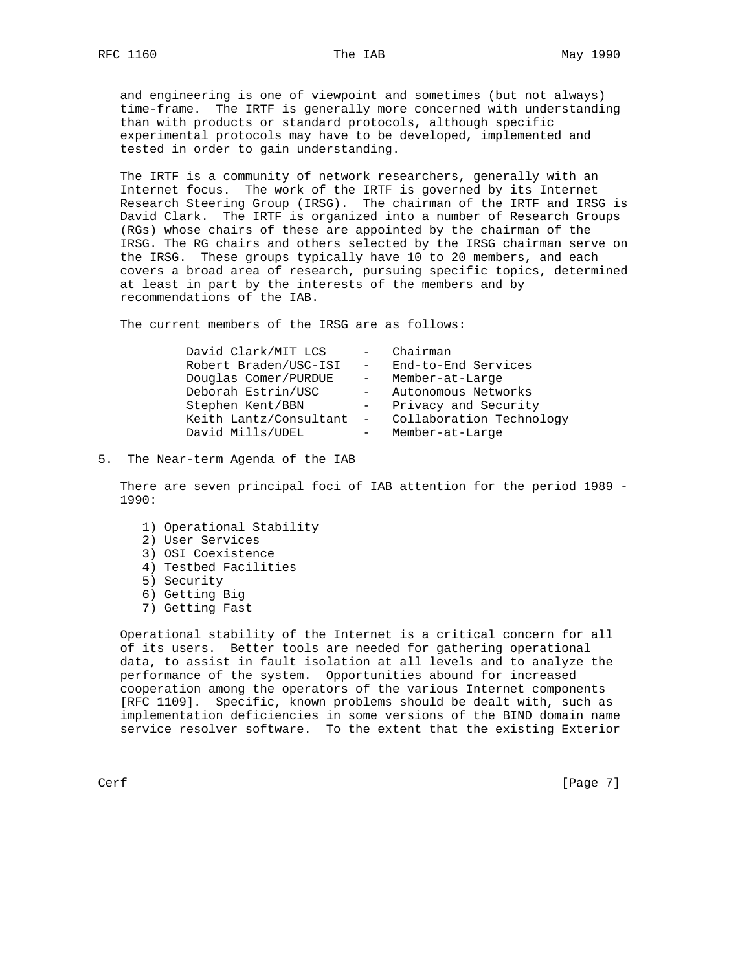and engineering is one of viewpoint and sometimes (but not always) time-frame. The IRTF is generally more concerned with understanding than with products or standard protocols, although specific experimental protocols may have to be developed, implemented and tested in order to gain understanding.

 The IRTF is a community of network researchers, generally with an Internet focus. The work of the IRTF is governed by its Internet Research Steering Group (IRSG). The chairman of the IRTF and IRSG is David Clark. The IRTF is organized into a number of Research Groups (RGs) whose chairs of these are appointed by the chairman of the IRSG. The RG chairs and others selected by the IRSG chairman serve on the IRSG. These groups typically have 10 to 20 members, and each covers a broad area of research, pursuing specific topics, determined at least in part by the interests of the members and by recommendations of the IAB.

The current members of the IRSG are as follows:

| David Clark/MIT LCS    | $\equiv$                        | Chairman                   |
|------------------------|---------------------------------|----------------------------|
| Robert Braden/USC-ISI  | $\sim$ 10 $\pm$                 | End-to-End Services        |
| Douglas Comer/PURDUE   | $\frac{1}{2}$ and $\frac{1}{2}$ | Member-at-Large            |
| Deborah Estrin/USC     |                                 | - Autonomous Networks      |
| Stephen Kent/BBN       |                                 | - Privacy and Security     |
| Keith Lantz/Consultant |                                 | - Collaboration Technology |
| David Mills/UDEL       | $\overline{\phantom{0}}$        | Member-at-Large            |
|                        |                                 |                            |

5. The Near-term Agenda of the IAB

 There are seven principal foci of IAB attention for the period 1989 - 1990:

- 1) Operational Stability
- 2) User Services
- 3) OSI Coexistence
- 4) Testbed Facilities
- 5) Security
- 6) Getting Big
- 7) Getting Fast

 Operational stability of the Internet is a critical concern for all of its users. Better tools are needed for gathering operational data, to assist in fault isolation at all levels and to analyze the performance of the system. Opportunities abound for increased cooperation among the operators of the various Internet components [RFC 1109]. Specific, known problems should be dealt with, such as implementation deficiencies in some versions of the BIND domain name service resolver software. To the extent that the existing Exterior

Cerf [Page 7]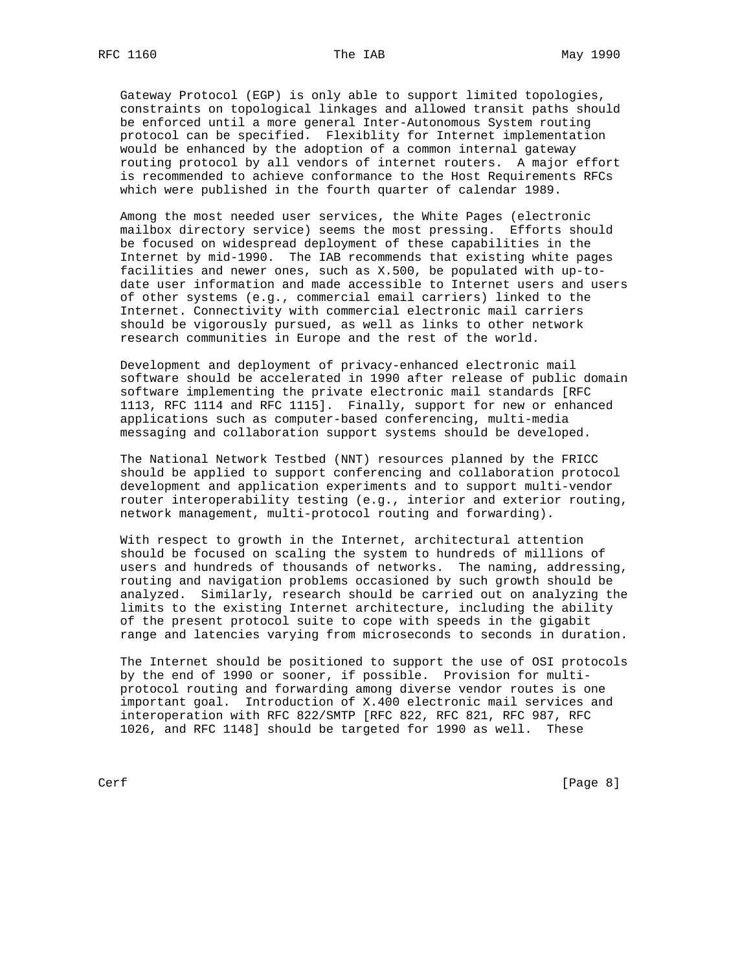Gateway Protocol (EGP) is only able to support limited topologies, constraints on topological linkages and allowed transit paths should be enforced until a more general Inter-Autonomous System routing protocol can be specified. Flexiblity for Internet implementation would be enhanced by the adoption of a common internal gateway routing protocol by all vendors of internet routers. A major effort is recommended to achieve conformance to the Host Requirements RFCs which were published in the fourth quarter of calendar 1989.

 Among the most needed user services, the White Pages (electronic mailbox directory service) seems the most pressing. Efforts should be focused on widespread deployment of these capabilities in the Internet by mid-1990. The IAB recommends that existing white pages facilities and newer ones, such as X.500, be populated with up-to date user information and made accessible to Internet users and users of other systems (e.g., commercial email carriers) linked to the Internet. Connectivity with commercial electronic mail carriers should be vigorously pursued, as well as links to other network research communities in Europe and the rest of the world.

 Development and deployment of privacy-enhanced electronic mail software should be accelerated in 1990 after release of public domain software implementing the private electronic mail standards [RFC 1113, RFC 1114 and RFC 1115]. Finally, support for new or enhanced applications such as computer-based conferencing, multi-media messaging and collaboration support systems should be developed.

 The National Network Testbed (NNT) resources planned by the FRICC should be applied to support conferencing and collaboration protocol development and application experiments and to support multi-vendor router interoperability testing (e.g., interior and exterior routing, network management, multi-protocol routing and forwarding).

 With respect to growth in the Internet, architectural attention should be focused on scaling the system to hundreds of millions of users and hundreds of thousands of networks. The naming, addressing, routing and navigation problems occasioned by such growth should be analyzed. Similarly, research should be carried out on analyzing the limits to the existing Internet architecture, including the ability of the present protocol suite to cope with speeds in the gigabit range and latencies varying from microseconds to seconds in duration.

 The Internet should be positioned to support the use of OSI protocols by the end of 1990 or sooner, if possible. Provision for multi protocol routing and forwarding among diverse vendor routes is one important goal. Introduction of X.400 electronic mail services and interoperation with RFC 822/SMTP [RFC 822, RFC 821, RFC 987, RFC 1026, and RFC 1148] should be targeted for 1990 as well. These

Cerf [Page 8]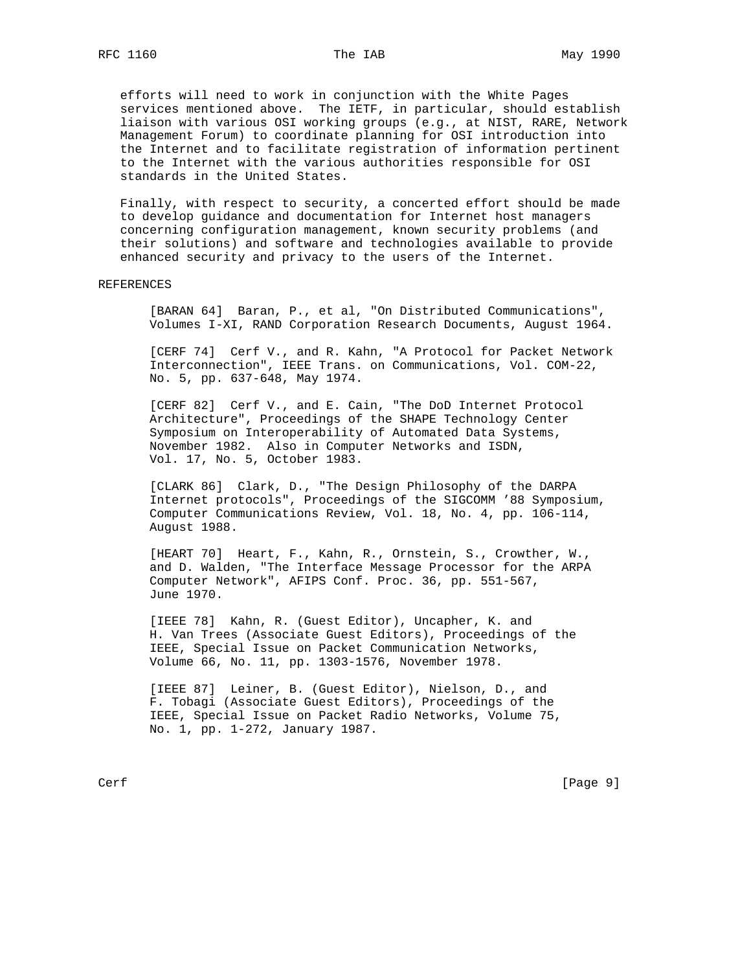efforts will need to work in conjunction with the White Pages services mentioned above. The IETF, in particular, should establish liaison with various OSI working groups (e.g., at NIST, RARE, Network Management Forum) to coordinate planning for OSI introduction into the Internet and to facilitate registration of information pertinent to the Internet with the various authorities responsible for OSI standards in the United States.

 Finally, with respect to security, a concerted effort should be made to develop guidance and documentation for Internet host managers concerning configuration management, known security problems (and their solutions) and software and technologies available to provide enhanced security and privacy to the users of the Internet.

### REFERENCES

 [BARAN 64] Baran, P., et al, "On Distributed Communications", Volumes I-XI, RAND Corporation Research Documents, August 1964.

 [CERF 74] Cerf V., and R. Kahn, "A Protocol for Packet Network Interconnection", IEEE Trans. on Communications, Vol. COM-22, No. 5, pp. 637-648, May 1974.

 [CERF 82] Cerf V., and E. Cain, "The DoD Internet Protocol Architecture", Proceedings of the SHAPE Technology Center Symposium on Interoperability of Automated Data Systems, November 1982. Also in Computer Networks and ISDN, Vol. 17, No. 5, October 1983.

> [CLARK 86] Clark, D., "The Design Philosophy of the DARPA Internet protocols", Proceedings of the SIGCOMM '88 Symposium, Computer Communications Review, Vol. 18, No. 4, pp. 106-114, August 1988.

 [HEART 70] Heart, F., Kahn, R., Ornstein, S., Crowther, W., and D. Walden, "The Interface Message Processor for the ARPA Computer Network", AFIPS Conf. Proc. 36, pp. 551-567, June 1970.

 [IEEE 78] Kahn, R. (Guest Editor), Uncapher, K. and H. Van Trees (Associate Guest Editors), Proceedings of the IEEE, Special Issue on Packet Communication Networks, Volume 66, No. 11, pp. 1303-1576, November 1978.

 [IEEE 87] Leiner, B. (Guest Editor), Nielson, D., and F. Tobagi (Associate Guest Editors), Proceedings of the IEEE, Special Issue on Packet Radio Networks, Volume 75, No. 1, pp. 1-272, January 1987.

Cerf [Page 9]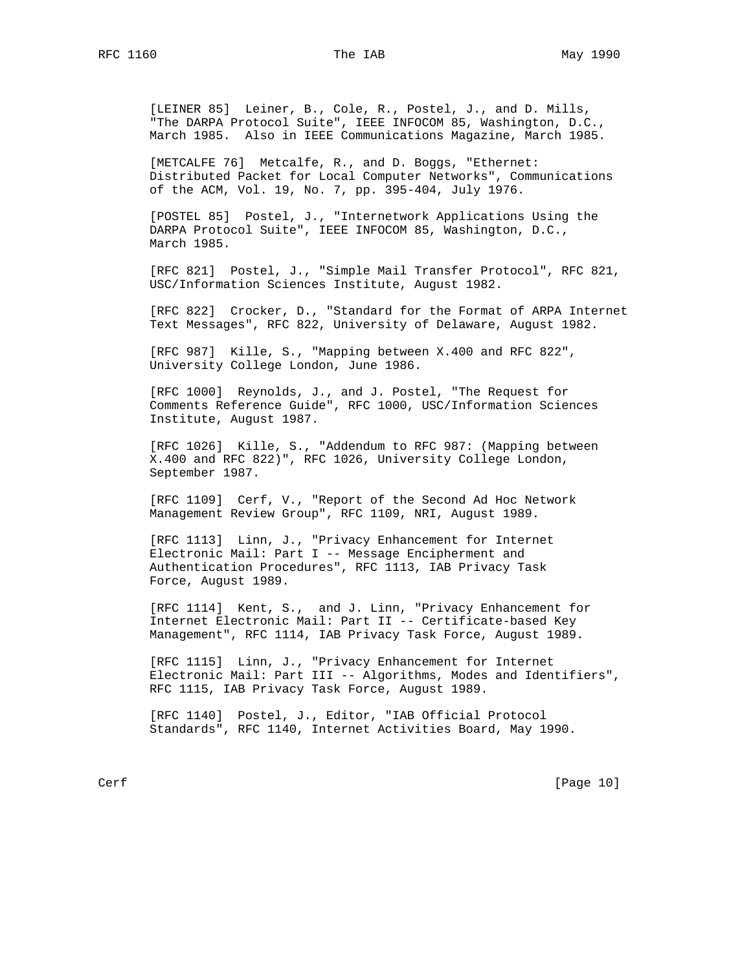[LEINER 85] Leiner, B., Cole, R., Postel, J., and D. Mills, "The DARPA Protocol Suite", IEEE INFOCOM 85, Washington, D.C., March 1985. Also in IEEE Communications Magazine, March 1985.

 [METCALFE 76] Metcalfe, R., and D. Boggs, "Ethernet: Distributed Packet for Local Computer Networks", Communications of the ACM, Vol. 19, No. 7, pp. 395-404, July 1976.

 [POSTEL 85] Postel, J., "Internetwork Applications Using the DARPA Protocol Suite", IEEE INFOCOM 85, Washington, D.C., March 1985.

 [RFC 821] Postel, J., "Simple Mail Transfer Protocol", RFC 821, USC/Information Sciences Institute, August 1982.

 [RFC 822] Crocker, D., "Standard for the Format of ARPA Internet Text Messages", RFC 822, University of Delaware, August 1982.

 [RFC 987] Kille, S., "Mapping between X.400 and RFC 822", University College London, June 1986.

 [RFC 1000] Reynolds, J., and J. Postel, "The Request for Comments Reference Guide", RFC 1000, USC/Information Sciences Institute, August 1987.

 [RFC 1026] Kille, S., "Addendum to RFC 987: (Mapping between X.400 and RFC 822)", RFC 1026, University College London, September 1987.

 [RFC 1109] Cerf, V., "Report of the Second Ad Hoc Network Management Review Group", RFC 1109, NRI, August 1989.

 [RFC 1113] Linn, J., "Privacy Enhancement for Internet Electronic Mail: Part I -- Message Encipherment and Authentication Procedures", RFC 1113, IAB Privacy Task Force, August 1989.

 [RFC 1114] Kent, S., and J. Linn, "Privacy Enhancement for Internet Electronic Mail: Part II -- Certificate-based Key Management", RFC 1114, IAB Privacy Task Force, August 1989.

 [RFC 1115] Linn, J., "Privacy Enhancement for Internet Electronic Mail: Part III -- Algorithms, Modes and Identifiers", RFC 1115, IAB Privacy Task Force, August 1989.

 [RFC 1140] Postel, J., Editor, "IAB Official Protocol Standards", RFC 1140, Internet Activities Board, May 1990.

Cerf [Page 10]